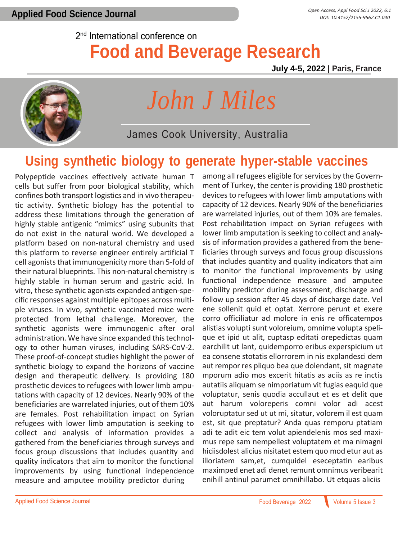#### 2<sup>nd</sup> International conference on **Food and Beverage Research**

**July 4-5, 2022 | Paris, France**



# *John J Miles*

James Cook University, Australia

#### **Using synthetic biology to generate hyper-stable vaccines**

Polypeptide vaccines effectively activate human T cells but suffer from poor biological stability, which confines both transport logistics and in vivo therapeutic activity. Synthetic biology has the potential to address these limitations through the generation of highly stable antigenic "mimics" using subunits that do not exist in the natural world. We developed a platform based on non-natural chemistry and used this platform to reverse engineer entirely artificial T cell agonists that immunogenicity more than 5-fold of their natural blueprints. This non-natural chemistry is highly stable in human serum and gastric acid. In vitro, these synthetic agonists expanded antigen-specific responses against multiple epitopes across multiple viruses. In vivo, synthetic vaccinated mice were protected from lethal challenge. Moreover, the synthetic agonists were immunogenic after oral administration. We have since expanded this technology to other human viruses, including SARS-CoV-2. These proof-of-concept studies highlight the power of synthetic biology to expand the horizons of vaccine design and therapeutic delivery. Is providing 180 prosthetic devices to refugees with lower limb amputations with capacity of 12 devices. Nearly 90% of the beneficiaries are warrelated injuries, out of them 10% are females. Post rehabilitation impact on Syrian refugees with lower limb amputation is seeking to collect and analysis of information provides a gathered from the beneficiaries through surveys and focus group discussions that includes quantity and quality indicators that aim to monitor the functional improvements by using functional independence measure and amputee mobility predictor during

among all refugees eligible for services by the Government of Turkey, the center is providing 180 prosthetic devices to refugees with lower limb amputations with capacity of 12 devices. Nearly 90% of the beneficiaries are warrelated injuries, out of them 10% are females. Post rehabilitation impact on Syrian refugees with lower limb amputation is seeking to collect and analysis of information provides a gathered from the beneficiaries through surveys and focus group discussions that includes quantity and quality indicators that aim to monitor the functional improvements by using functional independence measure and amputee mobility predictor during assessment, discharge and follow up session after 45 days of discharge date. Vel ene sollenit quid et optat. Xerrore perunt et exere corro officiliatur ad molore in enis re officatempos alistias volupti sunt voloreium, omnime volupta spelique et ipid ut alit, cuptasp editati orepedictas quam earchilit ut lant, quidemporro eribus experspicium ut ea consene stotatis ellorrorem in nis explandesci dem aut rempor res pliquo bea que dolendant, sit magnate mporum adio mos excerit hitatis as aciis as re inctis autatiis aliquam se nimporiatum vit fugias eaquid que voluptatur, senis quodia accullaut et es et delit que aut harum voloreperis comni volor adi acest voloruptatur sed ut ut mi, sitatur, volorem il est quam est, sit que preptatur? Anda quas remporu ptatiam adi te adit eic tem volut apiendelenis mos sed maximus repe sam nempellest voluptatem et ma nimagni hiciisdolest alicius nisitatet estem quo mod etur aut as illoriatem sam,et, cumquidel eseceptatin earibus maximped enet adi denet remunt omnimus veribearit enihill antinul parumet omnihillabo. Ut etquas aliciis